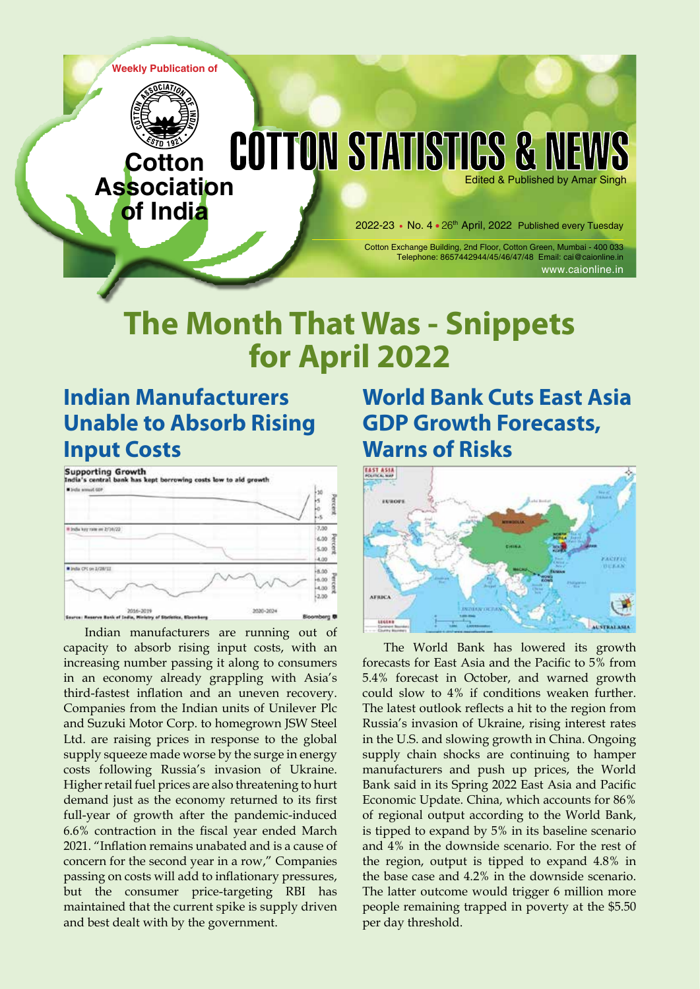**Weekly Publication of**



**Cotton**

**of India**

#### **COTTON STATISTICS & NEWS Association** Edited & Published by Amar Singh

2022-23 • No. 4 • 26<sup>th</sup> April, 2022 Published every Tuesday

Cotton Exchange Building, 2nd Floor, Cotton Green, Mumbai - 400 033 Telephone: 8657442944/45/46/47/48 Email: cai@caionline.in www.caionline.in

# **The Month That Was - Snippets for April 2022**

# **Indian Manufacturers Unable to Absorb Rising Input Costs**

Supporting Growth<br>India's central bank has kept borrowing costs low to aid grow Thirty would not Windia key rate as 2/16/22 7.00  $rac{6.00}{5.00}$   $rac{8}{3}$ 4.00 **Black Of on LONGIT**  $6.00$  $-0.00$ <br>  $-0.00$ <br>  $-0.00$ <br>  $-0.00$ 2.00 2016-201 2020-2024

Indian manufacturers are running out of capacity to absorb rising input costs, with an increasing number passing it along to consumers in an economy already grappling with Asia's third-fastest inflation and an uneven recovery. Companies from the Indian units of Unilever Plc and Suzuki Motor Corp. to homegrown JSW Steel Ltd. are raising prices in response to the global supply squeeze made worse by the surge in energy costs following Russia's invasion of Ukraine. Higher retail fuel prices are also threatening to hurt demand just as the economy returned to its first full-year of growth after the pandemic-induced 6.6% contraction in the fiscal year ended March 2021. "Inflation remains unabated and is a cause of concern for the second year in a row," Companies passing on costs will add to inflationary pressures, but the consumer price-targeting RBI has maintained that the current spike is supply driven and best dealt with by the government.

# **World Bank Cuts East Asia GDP Growth Forecasts, Warns of Risks**



The World Bank has lowered its growth forecasts for East Asia and the Pacific to 5% from 5.4% forecast in October, and warned growth could slow to 4% if conditions weaken further. The latest outlook reflects a hit to the region from Russia's invasion of Ukraine, rising interest rates in the U.S. and slowing growth in China. Ongoing supply chain shocks are continuing to hamper manufacturers and push up prices, the World Bank said in its Spring 2022 East Asia and Pacific Economic Update. China, which accounts for 86% of regional output according to the World Bank, is tipped to expand by 5% in its baseline scenario and 4% in the downside scenario. For the rest of the region, output is tipped to expand 4.8% in the base case and 4.2% in the downside scenario. The latter outcome would trigger 6 million more people remaining trapped in poverty at the \$5.50 per day threshold.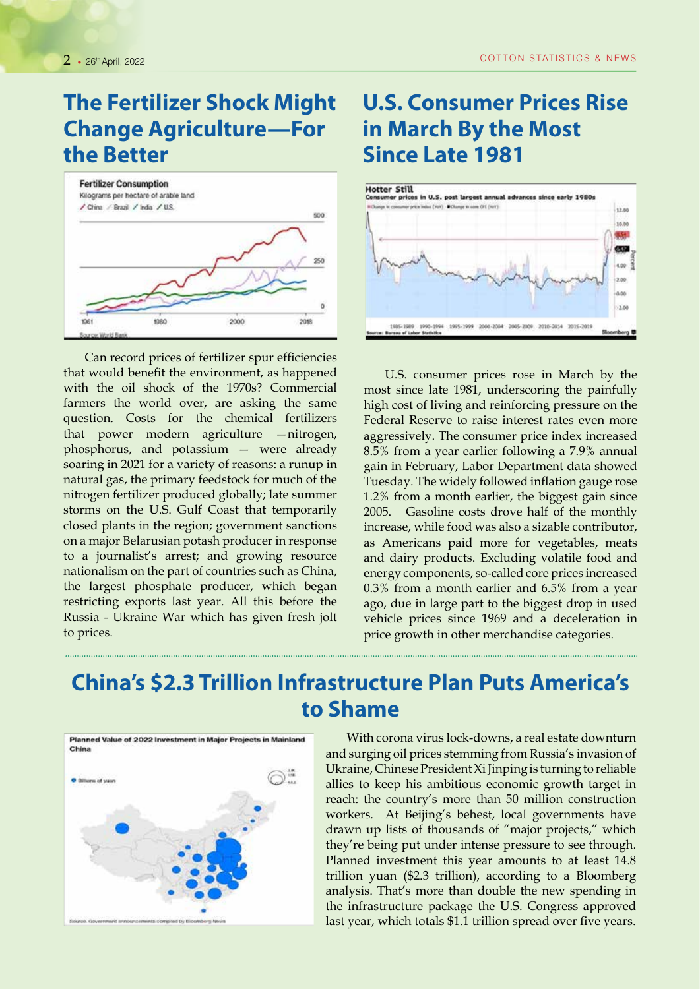#### **The Fertilizer Shock Might Change Agriculture—For the Better**



Can record prices of fertilizer spur efficiencies that would benefit the environment, as happened with the oil shock of the 1970s? Commercial farmers the world over, are asking the same question. Costs for the chemical fertilizers that power modern agriculture —nitrogen, phosphorus, and potassium — were already soaring in 2021 for a variety of reasons: a runup in natural gas, the primary feedstock for much of the nitrogen fertilizer produced globally; late summer storms on the U.S. Gulf Coast that temporarily closed plants in the region; government sanctions on a major Belarusian potash producer in response to a journalist's arrest; and growing resource nationalism on the part of countries such as China, the largest phosphate producer, which began restricting exports last year. All this before the Russia - Ukraine War which has given fresh jolt to prices.

#### **U.S. Consumer Prices Rise in March By the Most Since Late 1981**



U.S. consumer prices rose in March by the most since late 1981, underscoring the painfully high cost of living and reinforcing pressure on the Federal Reserve to raise interest rates even more aggressively. The consumer price index increased 8.5% from a year earlier following a 7.9% annual gain in February, Labor Department data showed Tuesday. The widely followed inflation gauge rose 1.2% from a month earlier, the biggest gain since 2005. Gasoline costs drove half of the monthly increase, while food was also a sizable contributor, as Americans paid more for vegetables, meats and dairy products. Excluding volatile food and energy components, so-called core prices increased 0.3% from a month earlier and 6.5% from a year ago, due in large part to the biggest drop in used vehicle prices since 1969 and a deceleration in price growth in other merchandise categories.

## **China's \$2.3 Trillion Infrastructure Plan Puts America's to Shame**



With corona virus lock-downs, a real estate downturn and surging oil prices stemming from Russia's invasion of Ukraine, Chinese President Xi Jinping is turning to reliable allies to keep his ambitious economic growth target in reach: the country's more than 50 million construction workers. At Beijing's behest, local governments have drawn up lists of thousands of "major projects," which they're being put under intense pressure to see through. Planned investment this year amounts to at least 14.8 trillion yuan (\$2.3 trillion), according to a Bloomberg analysis. That's more than double the new spending in the infrastructure package the U.S. Congress approved last year, which totals \$1.1 trillion spread over five years.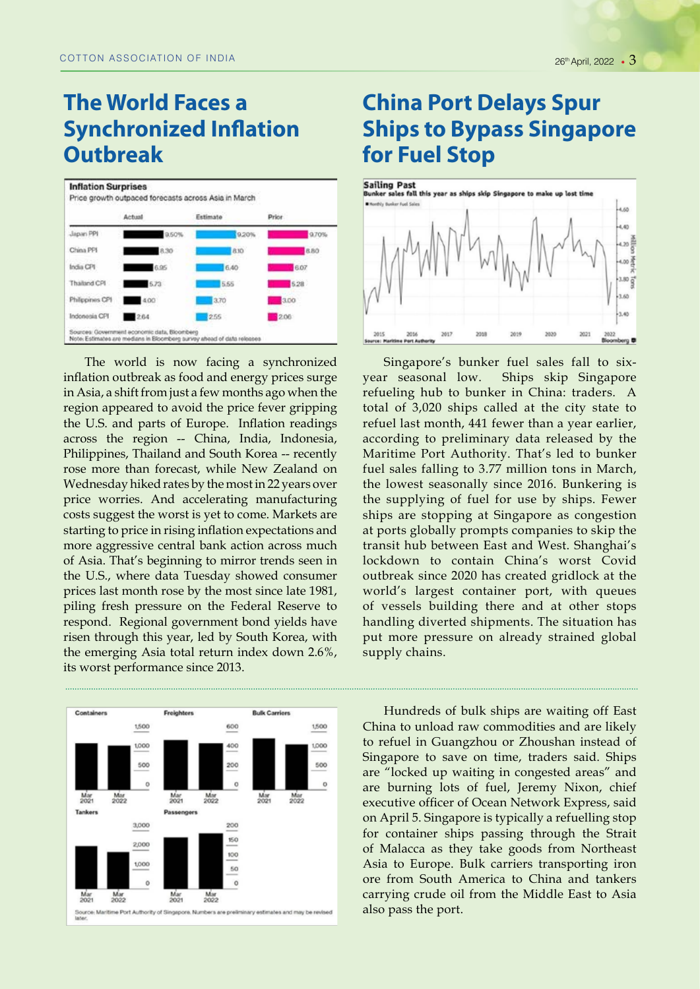## **The World Faces a Synchronized Inflation Outbreak**



The world is now facing a synchronized inflation outbreak as food and energy prices surge in Asia, a shift from just a few months ago when the region appeared to avoid the price fever gripping the U.S. and parts of Europe. Inflation readings across the region -- China, India, Indonesia, Philippines, Thailand and South Korea -- recently rose more than forecast, while New Zealand on Wednesday hiked rates by the most in 22 years over price worries. And accelerating manufacturing costs suggest the worst is yet to come. Markets are starting to price in rising inflation expectations and more aggressive central bank action across much of Asia. That's beginning to mirror trends seen in the U.S., where data Tuesday showed consumer prices last month rose by the most since late 1981, piling fresh pressure on the Federal Reserve to respond. Regional government bond yields have risen through this year, led by South Korea, with the emerging Asia total return index down 2.6%, its worst performance since 2013.



### **China Port Delays Spur Ships to Bypass Singapore for Fuel Stop**



Singapore's bunker fuel sales fall to sixyear seasonal low. Ships skip Singapore refueling hub to bunker in China: traders. A total of 3,020 ships called at the city state to refuel last month, 441 fewer than a year earlier, according to preliminary data released by the Maritime Port Authority. That's led to bunker fuel sales falling to 3.77 million tons in March, the lowest seasonally since 2016. Bunkering is the supplying of fuel for use by ships. Fewer ships are stopping at Singapore as congestion at ports globally prompts companies to skip the transit hub between East and West. Shanghai's lockdown to contain China's worst Covid outbreak since 2020 has created gridlock at the world's largest container port, with queues of vessels building there and at other stops handling diverted shipments. The situation has put more pressure on already strained global supply chains.

Hundreds of bulk ships are waiting off East China to unload raw commodities and are likely to refuel in Guangzhou or Zhoushan instead of Singapore to save on time, traders said. Ships are "locked up waiting in congested areas" and are burning lots of fuel, Jeremy Nixon, chief executive officer of Ocean Network Express, said on April 5. Singapore is typically a refuelling stop for container ships passing through the Strait of Malacca as they take goods from Northeast Asia to Europe. Bulk carriers transporting iron ore from South America to China and tankers carrying crude oil from the Middle East to Asia also pass the port.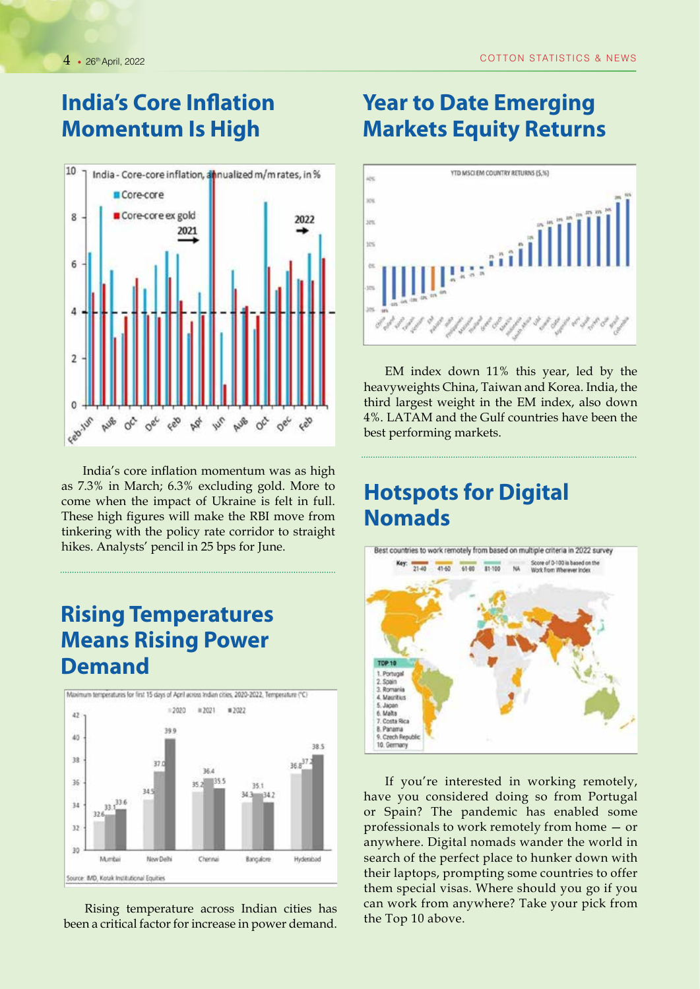## **India's Core Inflation Momentum Is High**



India's core inflation momentum was as high as 7.3% in March; 6.3% excluding gold. More to come when the impact of Ukraine is felt in full. These high figures will make the RBI move from tinkering with the policy rate corridor to straight hikes. Analysts' pencil in 25 bps for June.

#### **Rising Temperatures Means Rising Power Demand**



Rising temperature across Indian cities has been a critical factor for increase in power demand.

# **Year to Date Emerging Markets Equity Returns**



EM index down 11% this year, led by the heavyweights China, Taiwan and Korea. India, the third largest weight in the EM index, also down 4%. LATAM and the Gulf countries have been the best performing markets.

## **Hotspots for Digital Nomads**



If you're interested in working remotely, have you considered doing so from Portugal or Spain? The pandemic has enabled some professionals to work remotely from home — or anywhere. Digital nomads wander the world in search of the perfect place to hunker down with their laptops, prompting some countries to offer them special visas. Where should you go if you can work from anywhere? Take your pick from the Top 10 above.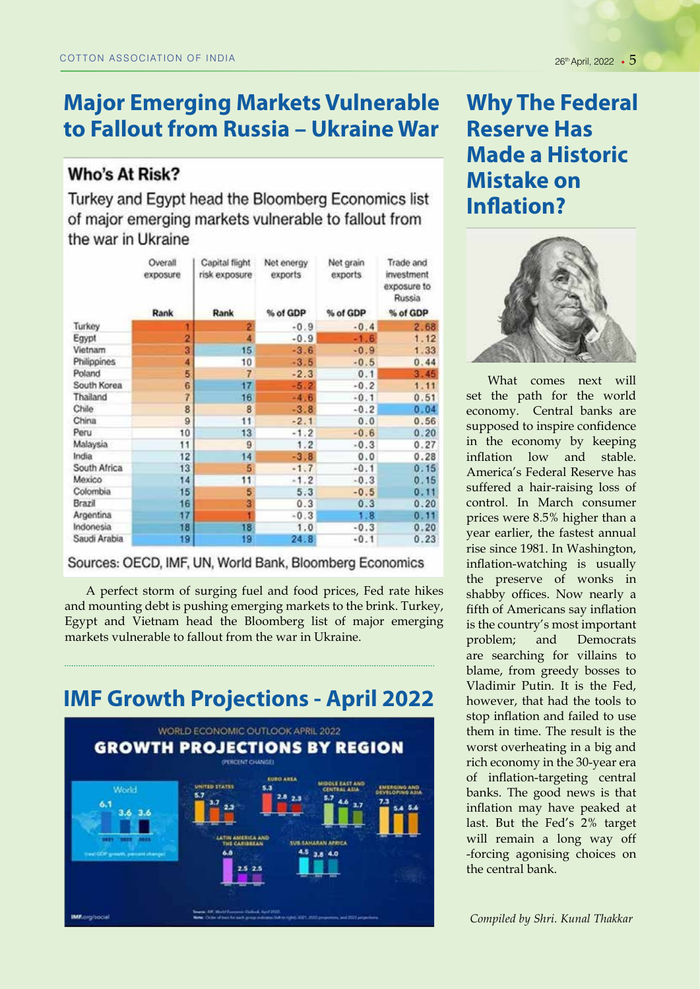## **Major Emerging Markets Vulnerable to Fallout from Russia – Ukraine War**

#### **Who's At Risk?**

Turkey and Egypt head the Bloomberg Economics list of major emerging markets vulnerable to fallout from the war in Ukraine

|              | Overall<br>exposure | Capital flight<br>risk exposure | Net energy<br>exports | Net grain<br>exports | Trade and<br>investment<br>exposure to<br>Russia |  |
|--------------|---------------------|---------------------------------|-----------------------|----------------------|--------------------------------------------------|--|
|              | Rank                | Rank                            | % of GDP              | % of GDP             | % of GDP                                         |  |
| Turkey       |                     | 2                               | $-0.9$                | $-0.4$               | 2.68                                             |  |
| Egypt        | 2                   | 4                               | $-0.9$                | $-1.6$               | 1.12                                             |  |
| Vietnam      | 3                   | 15                              | $-3.6$                | $-0.9$               | 1.33                                             |  |
| Philippines  | 4                   | 10                              | $-3.5$                | $-0.5$               | 0.44                                             |  |
| Poland       | 5                   | 7                               | $-2.3$                | 0.1                  | 3.45                                             |  |
| South Korea  | 6                   | 17 <sup>1</sup>                 | $-5.2$                | $-0.2$               | 1.11                                             |  |
| Thailand     | 7                   | 16                              | $-4.6$                | $-0.1$               | 0.51                                             |  |
| Chile        | 8                   | 8                               | $-3.8$                | $-0.2$               | 0.04                                             |  |
| China        | 9                   | 11                              | $-2.1$                | 0.0                  | 0.56                                             |  |
| Peru         | 10                  | 13                              | $-1.2$                | $-0.6$               | 0.20                                             |  |
| Malaysia     | 11                  | 9                               | 1.2                   | $-0.3$               | 0.27                                             |  |
| India        | 12                  | 14                              | $-3.8$                | 0.0                  | 0.28                                             |  |
| South Africa | 13                  | 5                               | $-1.7$                | $-0.1$               | 0.15                                             |  |
| Mexico       | 14                  | 11                              | $-1.2$                | $-0.3$               | 0.15                                             |  |
| Colombia     | 15                  | 5                               | 5.3                   | $-0.5$               | 0.11                                             |  |
| Brazil       | 16                  | 3                               | 0.3                   | 0.3                  | 0.20                                             |  |
| Argentina    | 17                  |                                 | $-0.3$                | 1.8                  | 0.11                                             |  |
| Indonesia    | 18                  | 18                              | 1.0                   | $-0.3$               | 0.20                                             |  |
| Saudi Arabia | 19                  | 19                              | 24.8                  | $-0.1$               | 0.23                                             |  |

Sources: OECD, IMF, UN, World Bank, Bloomberg Economics

A perfect storm of surging fuel and food prices, Fed rate hikes and mounting debt is pushing emerging markets to the brink. Turkey, Egypt and Vietnam head the Bloomberg list of major emerging markets vulnerable to fallout from the war in Ukraine.

**IMF Growth Projections - April 2022** WORLD ECONOMIC OUTLOOK APRIL 2022 **GROWTH PROJECTIONS BY REGION PERCENT CHANGE Woold** *UR TANAKAN AFIREZ* 4.5  $3.8 - 4.0$ 

# **Why The Federal Reserve Has Made a Historic Mistake on Inflation?**



What comes next will set the path for the world economy. Central banks are supposed to inspire confidence in the economy by keeping inflation low and stable. America's Federal Reserve has suffered a hair-raising loss of control. In March consumer prices were 8.5% higher than a year earlier, the fastest annual rise since 1981. In Washington, inflation-watching is usually the preserve of wonks in shabby offices. Now nearly a fifth of Americans say inflation is the country's most important problem; and Democrats are searching for villains to blame, from greedy bosses to Vladimir Putin. It is the Fed, however, that had the tools to stop inflation and failed to use them in time. The result is the worst overheating in a big and rich economy in the 30-year era of inflation-targeting central banks. The good news is that inflation may have peaked at last. But the Fed's 2% target will remain a long way off -forcing agonising choices on the central bank.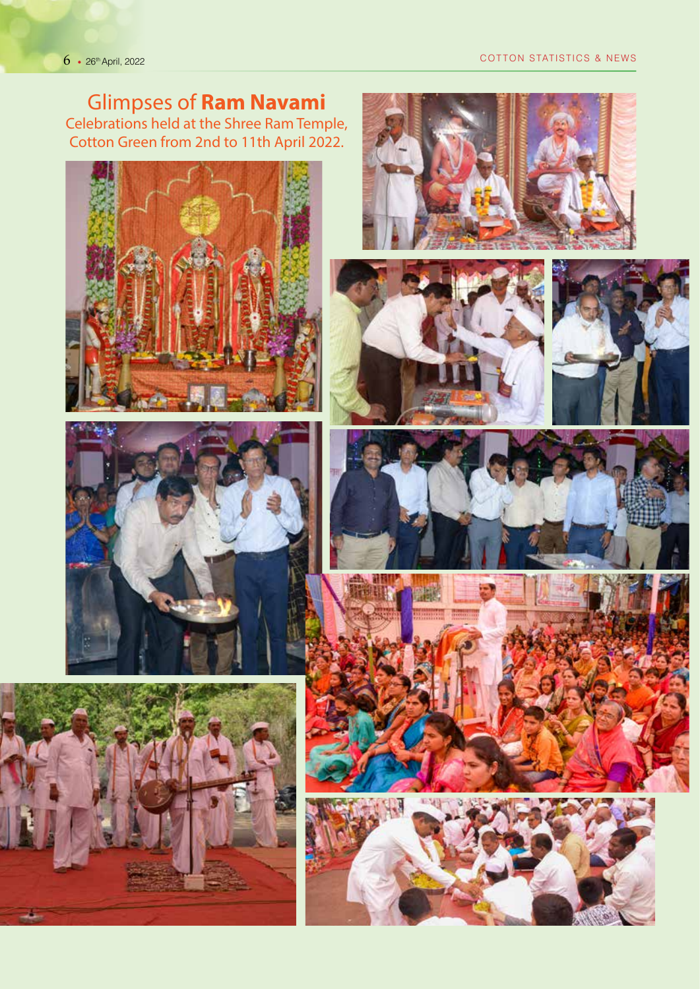Glimpses of **Ram Navami**

Celebrations held at the Shree Ram Temple, Cotton Green from 2nd to 11th April 2022.

















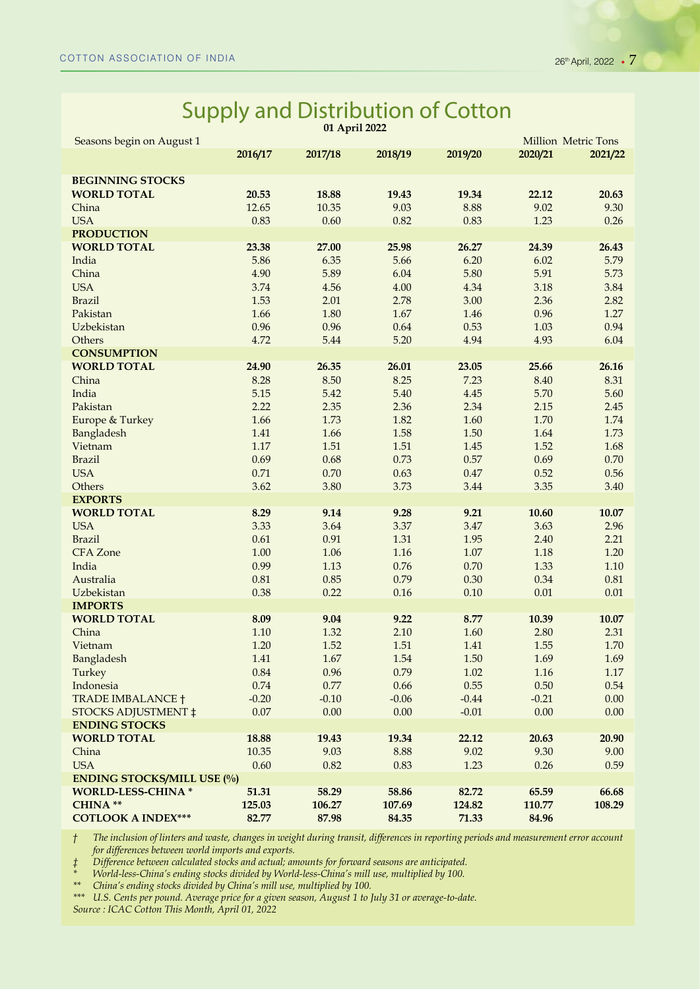#### Supply and Distribution of Cotton **01 April 2022**

| Seasons begin on August 1           |                 |                 |                 |                 | Million Metric Tons |         |  |  |  |
|-------------------------------------|-----------------|-----------------|-----------------|-----------------|---------------------|---------|--|--|--|
|                                     | 2016/17         | 2017/18         | 2018/19         | 2019/20         | 2020/21             | 2021/22 |  |  |  |
| <b>BEGINNING STOCKS</b>             |                 |                 |                 |                 |                     |         |  |  |  |
| <b>WORLD TOTAL</b>                  | 20.53           | 18.88           | 19.43           | 19.34           | 22.12               | 20.63   |  |  |  |
| China                               | 12.65           | 10.35           | 9.03            | 8.88            | 9.02                | 9.30    |  |  |  |
| <b>USA</b>                          | 0.83            | 0.60            | 0.82            | 0.83            | 1.23                | 0.26    |  |  |  |
| <b>PRODUCTION</b>                   |                 |                 |                 |                 |                     |         |  |  |  |
| <b>WORLD TOTAL</b>                  | 23.38           | 27.00           | 25.98           | 26.27           | 24.39               | 26.43   |  |  |  |
| India                               | 5.86            | 6.35            | 5.66            | 6.20            | 6.02                | 5.79    |  |  |  |
| China                               | 4.90            | 5.89            | 6.04            | 5.80            | 5.91                | 5.73    |  |  |  |
| <b>USA</b>                          | 3.74            | 4.56            | $4.00\,$        | 4.34            | 3.18                | 3.84    |  |  |  |
| <b>Brazil</b>                       | 1.53            | 2.01            | 2.78            | 3.00            | 2.36                | 2.82    |  |  |  |
| Pakistan                            | 1.66            | 1.80            | 1.67            | 1.46            | 0.96                | 1.27    |  |  |  |
| Uzbekistan                          | 0.96            | 0.96            | 0.64            | 0.53            | 1.03                | 0.94    |  |  |  |
| Others                              | 4.72            | 5.44            | 5.20            | 4.94            | 4.93                | 6.04    |  |  |  |
| <b>CONSUMPTION</b>                  |                 |                 |                 |                 |                     |         |  |  |  |
| <b>WORLD TOTAL</b>                  | 24.90           | 26.35           | 26.01           | 23.05           | 25.66               | 26.16   |  |  |  |
| China                               | 8.28            | 8.50            | 8.25            | 7.23            | 8.40                | 8.31    |  |  |  |
| India                               | 5.15            | 5.42            | 5.40            | 4.45            | 5.70                | 5.60    |  |  |  |
| Pakistan                            | 2.22            | 2.35            | 2.36            | 2.34            | 2.15                | 2.45    |  |  |  |
| Europe & Turkey                     | 1.66            | 1.73            | 1.82            | 1.60            | 1.70                | 1.74    |  |  |  |
| Bangladesh                          | 1.41            | 1.66            | 1.58            | 1.50            | 1.64                | 1.73    |  |  |  |
| Vietnam                             | 1.17            | 1.51            | 1.51            | 1.45            | 1.52                | 1.68    |  |  |  |
| <b>Brazil</b>                       | 0.69            | 0.68            | 0.73            | 0.57            | 0.69                | 0.70    |  |  |  |
| <b>USA</b>                          | 0.71            | 0.70            | 0.63            | 0.47            | 0.52                | 0.56    |  |  |  |
| Others<br><b>EXPORTS</b>            | 3.62            | 3.80            | 3.73            | 3.44            | 3.35                | 3.40    |  |  |  |
| <b>WORLD TOTAL</b>                  | 8.29            | 9.14            | 9.28            | 9.21            | 10.60               | 10.07   |  |  |  |
| <b>USA</b>                          | 3.33            | 3.64            | 3.37            | 3.47            | 3.63                | 2.96    |  |  |  |
| <b>Brazil</b>                       | 0.61            | 0.91            | 1.31            | 1.95            | 2.40                | 2.21    |  |  |  |
| <b>CFA</b> Zone                     | 1.00            | 1.06            | 1.16            | $1.07\,$        | 1.18                | 1.20    |  |  |  |
| India                               | 0.99            | 1.13            | 0.76            | 0.70            | 1.33                | 1.10    |  |  |  |
| Australia                           | 0.81            | 0.85            | 0.79            | 0.30            | 0.34                | 0.81    |  |  |  |
| Uzbekistan                          | 0.38            | 0.22            | 0.16            | 0.10            | $0.01\,$            | 0.01    |  |  |  |
| <b>IMPORTS</b>                      |                 |                 |                 |                 |                     |         |  |  |  |
| <b>WORLD TOTAL</b>                  | 8.09            | 9.04            | 9.22            | 8.77            | 10.39               | 10.07   |  |  |  |
| China                               | $1.10\,$        | 1.32            | 2.10            | 1.60            | 2.80                | 2.31    |  |  |  |
| Vietnam                             | 1.20            | 1.52            | 1.51            | 1.41            | 1.55                | 1.70    |  |  |  |
| Bangladesh                          | 1.41            | $1.67\,$        | 1.54            | 1.50            | 1.69                | 1.69    |  |  |  |
| Turkey                              | 0.84            | 0.96            | 0.79            | 1.02            | 1.16                | 1.17    |  |  |  |
| Indonesia                           | 0.74            | 0.77            | 0.66            | 0.55            | 0.50                | 0.54    |  |  |  |
| <b>TRADE IMBALANCE †</b>            | $-0.20$         | $-0.10$         | $-0.06$         | $-0.44$         | $-0.21$             | 0.00    |  |  |  |
| <b>STOCKS ADJUSTMENT ‡</b>          | 0.07            | 0.00            | 0.00            | $-0.01$         | 0.00                | 0.00    |  |  |  |
| <b>ENDING STOCKS</b>                |                 |                 |                 |                 |                     |         |  |  |  |
| <b>WORLD TOTAL</b>                  | 18.88           | 19.43           | 19.34           | 22.12           | 20.63               | 20.90   |  |  |  |
| China                               | 10.35           | 9.03            | 8.88            | 9.02            | 9.30                | 9.00    |  |  |  |
| <b>USA</b>                          | 0.60            | 0.82            | 0.83            | 1.23            | 0.26                | 0.59    |  |  |  |
| <b>ENDING STOCKS/MILL USE (%)</b>   |                 |                 |                 |                 |                     |         |  |  |  |
| <b>WORLD-LESS-CHINA*</b><br>CHINA** | 51.31<br>125.03 | 58.29<br>106.27 | 58.86           | 82.72           | 65.59               | 66.68   |  |  |  |
| <b>COTLOOK A INDEX***</b>           | 82.77           | 87.98           | 107.69<br>84.35 | 124.82<br>71.33 | 110.77<br>84.96     | 108.29  |  |  |  |
|                                     |                 |                 |                 |                 |                     |         |  |  |  |

*† The inclusion of linters and waste, changes in weight during transit, differences in reporting periods and measurement error account for differences between world imports and exports.* 

*‡ Difference between calculated stocks and actual; amounts for forward seasons are anticipated.* 

*\* World-less-China's ending stocks divided by World-less-China's mill use, multiplied by 100.* 

*\*\* China's ending stocks divided by China's mill use, multiplied by 100.* 

*\*\*\* U.S. Cents per pound. Average price for a given season, August 1 to July 31 or average-to-date.* 

*Source : ICAC Cotton This Month, April 01, 2022*